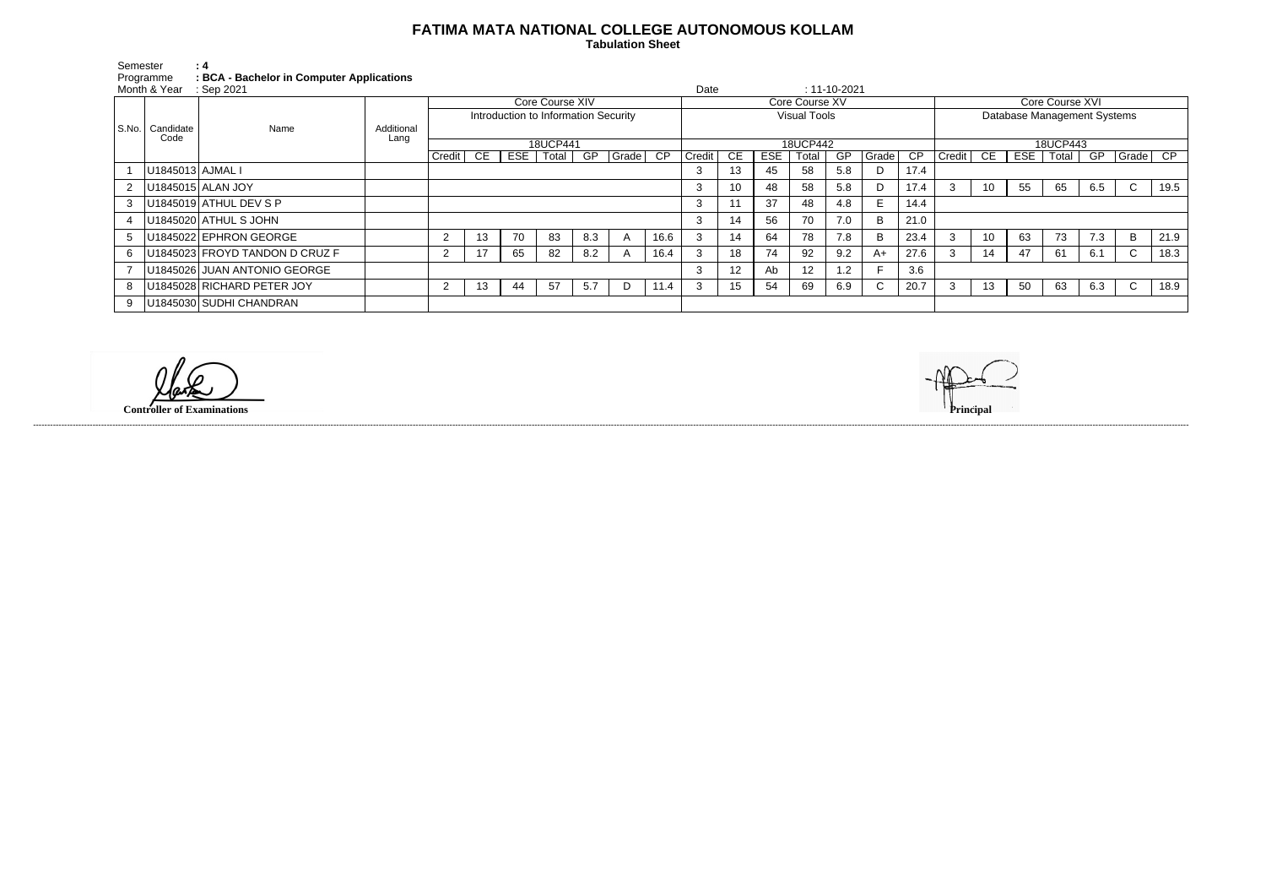## **FATIMA MATA NATIONAL COLLEGE AUTONOMOUS KOLLAM**

 **Tabulation Sheet** 

Semester<br>Programme Programme **: BCA - Bachelor in Computer Applications**

| Month & Year : Sep 2021 |                           |                                |                    |                                      |    |    |               |     |       |                     | Date   |     |     |                 | $: 11 - 10 - 2021$ |              |                             |        |    |            |       |     |              |      |
|-------------------------|---------------------------|--------------------------------|--------------------|--------------------------------------|----|----|---------------|-----|-------|---------------------|--------|-----|-----|-----------------|--------------------|--------------|-----------------------------|--------|----|------------|-------|-----|--------------|------|
|                         | S.No.   Candidate<br>Code | Name                           | Additional<br>Lang | Core Course XIV                      |    |    |               |     |       | Core Course XV      |        |     |     |                 |                    |              | Core Course XVI             |        |    |            |       |     |              |      |
|                         |                           |                                |                    | Introduction to Information Security |    |    |               |     |       | <b>Visual Tools</b> |        |     |     |                 |                    |              | Database Management Systems |        |    |            |       |     |              |      |
|                         |                           |                                |                    |                                      |    |    |               |     |       |                     |        |     |     |                 |                    |              |                             |        |    |            |       |     |              |      |
|                         |                           |                                |                    | 18UCP441                             |    |    |               |     |       | 18UCP442            |        |     |     |                 |                    |              | 18UCP443                    |        |    |            |       |     |              |      |
|                         |                           |                                |                    | Credit                               | CE |    | $ESE$   Total | GP  | Grade | $\overline{CP}$     | Credit | CE. | ESE | Total           | GP                 | Grade        | CP                          | Credit | CE | <b>ESE</b> | Total | GP  | $ Grade $ CP |      |
|                         | U1845013 AJMAL I          |                                |                    |                                      |    |    |               |     |       |                     | 3      | 13  | 45  | 58              | 5.8                | D            | 17.4                        |        |    |            |       |     |              |      |
|                         |                           | U1845015 ALAN JOY              |                    |                                      |    |    |               |     |       |                     | 3      | 10  | 48  | 58              | 5.8                | D            | 17.4                        |        | 10 | 55         | 65    | 6.5 | $\mathsf{C}$ | 19.5 |
|                         |                           | U1845019 ATHUL DEV S P         |                    |                                      |    |    |               |     |       |                     | 3      | 11  | 37  | 48              | 4.8                | E.           | 14.4                        |        |    |            |       |     |              |      |
|                         |                           | U1845020 ATHUL S JOHN          |                    |                                      |    |    |               |     |       |                     | 3      | 14  | 56  | 70              | 7.0                | B            | 21.0                        |        |    |            |       |     |              |      |
|                         |                           | U1845022 EPHRON GEORGE         |                    | $\overline{2}$                       | 13 | 70 | 83            | 8.3 |       | 16.6                |        | 14  | 64  | 78              | 7.8                | B            | 23.4                        | 3      | 10 | 63         | 73    | 7.3 | B            | 21.9 |
|                         |                           | U1845023 FROYD TANDON D CRUZ F |                    | $\overline{2}$                       | 17 | 65 | 82            | 8.2 |       | 16.4                |        | 18  | 74  | 92              | 9.2                | A+           | 27.6                        |        | 14 | 47         | 61    | 6.1 | $\mathsf{C}$ | 18.3 |
|                         |                           | U1845026 JUAN ANTONIO GEORGE   |                    |                                      |    |    |               |     |       |                     | 3      | 12  | Ab  | 12 <sup>2</sup> | 1.2                |              | 3.6                         |        |    |            |       |     |              |      |
|                         |                           | U1845028 RICHARD PETER JOY     |                    |                                      | 13 | 44 | 57            | 5.7 | -D    | 11.4                |        | 15  | -54 | 69              | 6.9                | $\mathsf{C}$ | 20.7                        |        | 13 | 50         | 63    | 6.3 | $\mathsf{C}$ | 18.9 |
|                         |                           | U1845030 SUDHI CHANDRAN        |                    |                                      |    |    |               |     |       |                     |        |     |     |                 |                    |              |                             |        |    |            |       |     |              |      |

**Controller of Examinations Principal**

------------------------------------------------------------------------------------------------------------------------------------------------------------------------------------------------------------------------------------------------------------------------------------------------------------------------------------------------------------------------------------------------------------------------